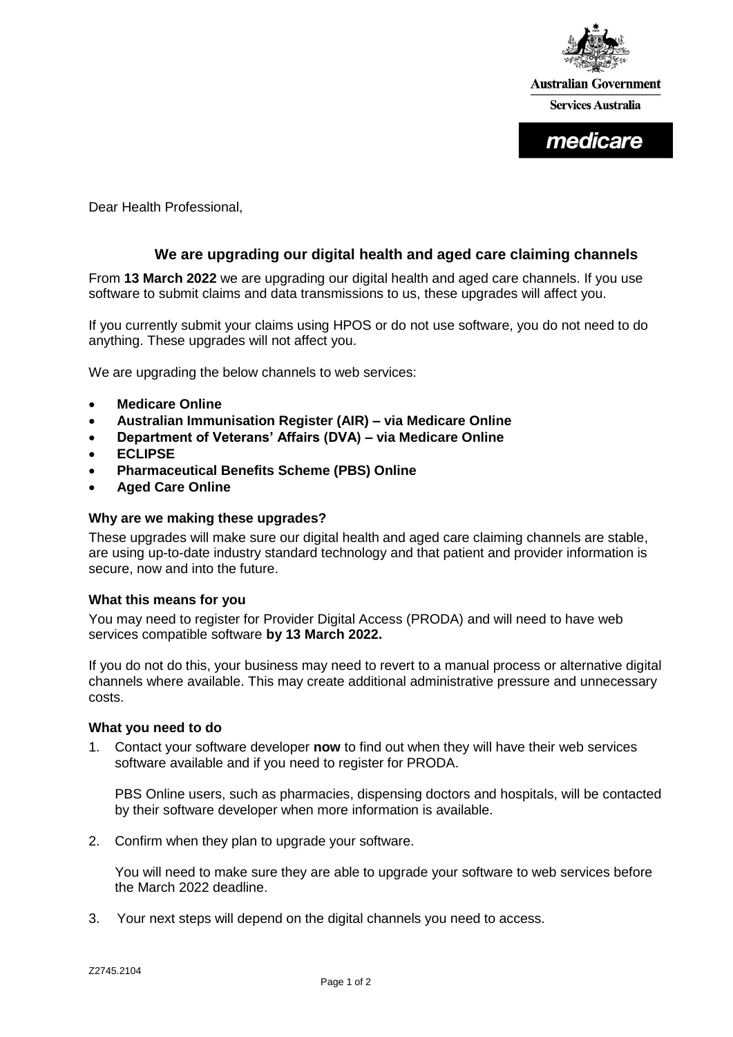

**Australian Government Services Australia** 

medicare

Dear Health Professional,

# **We are upgrading our digital health and aged care claiming channels**

From **13 March 2022** we are upgrading our digital health and aged care channels. If you use software to submit claims and data transmissions to us, these upgrades will affect you.

If you currently submit your claims using HPOS or do not use software, you do not need to do anything. These upgrades will not affect you.

We are upgrading the below channels to web services:

- **Medicare Online**
- **Australian Immunisation Register (AIR) – via Medicare Online**
- **Department of Veterans' Affairs (DVA) – via Medicare Online**
- **ECLIPSE**
- **Pharmaceutical Benefits Scheme (PBS) Online**
- **Aged Care Online**

#### **Why are we making these upgrades?**

These upgrades will make sure our digital health and aged care claiming channels are stable, are using up-to-date industry standard technology and that patient and provider information is secure, now and into the future.

### **What this means for you**

You may need to register for Provider Digital Access (PRODA) and will need to have web services compatible software **by 13 March 2022.**

If you do not do this, your business may need to revert to a manual process or alternative digital channels where available. This may create additional administrative pressure and unnecessary costs.

#### **What you need to do**

1. Contact your software developer **now** to find out when they will have their web services software available and if you need to register for PRODA.

PBS Online users, such as pharmacies, dispensing doctors and hospitals, will be contacted by their software developer when more information is available.

2. Confirm when they plan to upgrade your software.

You will need to make sure they are able to upgrade your software to web services before the March 2022 deadline.

3. Your next steps will depend on the digital channels you need to access.